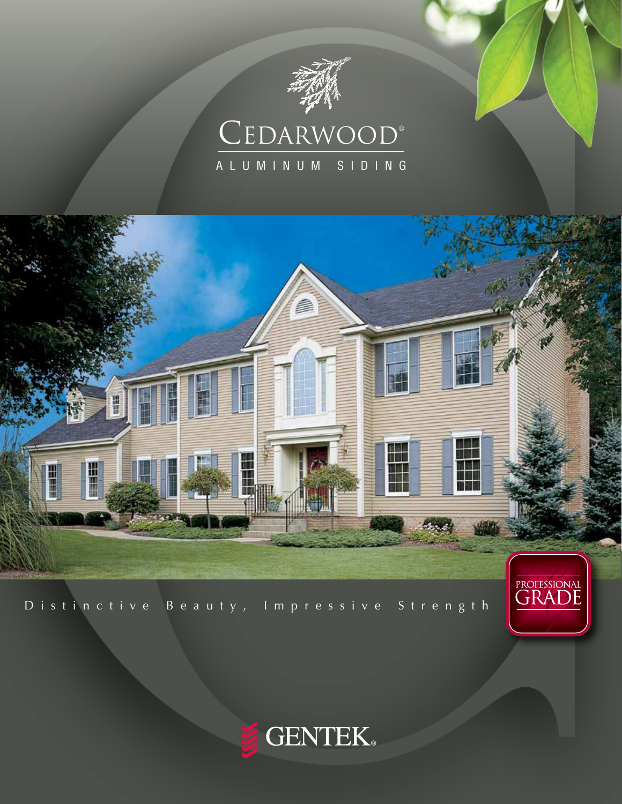

# CEDARWOOD® ALUMINUM SIDING



Distinctive Beauty, Impressive Strength

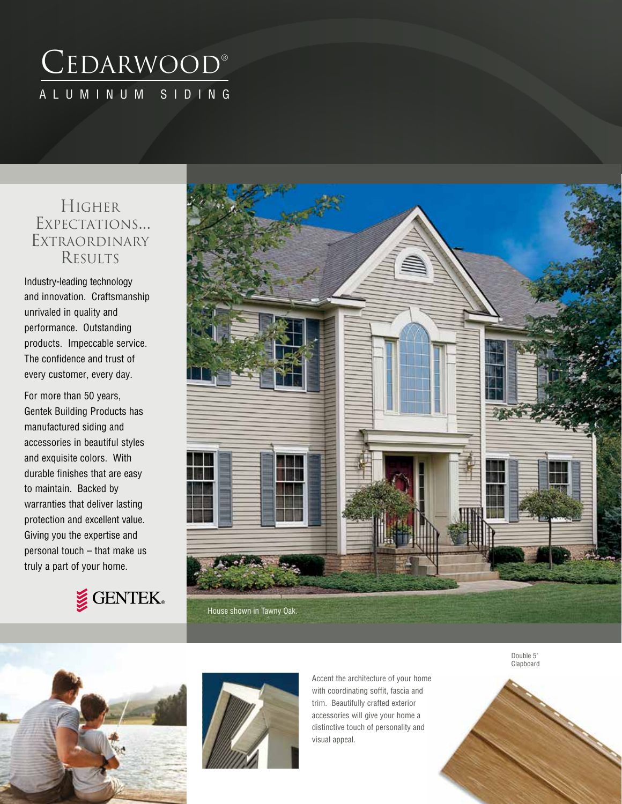# CEDARWOOD® ALUMINUM SIDING

## Higher EXPECTATIONS... **EXTRAORDINARY RESULTS**

Industry-leading technology and innovation. Craftsmanship unrivaled in quality and performance. Outstanding products. Impeccable service. The confidence and trust of every customer, every day.

For more than 50 years, Gentek Building Products has manufactured siding and accessories in beautiful styles and exquisite colors. With durable finishes that are easy to maintain. Backed by warranties that deliver lasting protection and excellent value. Giving you the expertise and personal touch – that make us truly a part of your home.

**SENTEK** 







Accent the architecture of your home with coordinating soffit, fascia and trim. Beautifully crafted exterior accessories will give your home a distinctive touch of personality and visual appeal.

Double 5" Clapboard

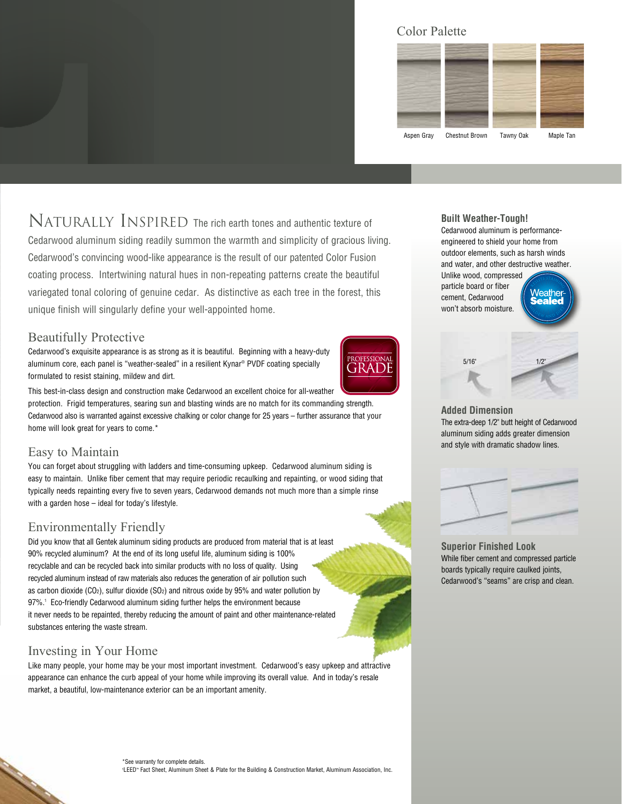#### Color Palette



NATURALLY INSPIRED The rich earth tones and authentic texture of Cedarwood aluminum siding readily summon the warmth and simplicity of gracious living. Cedarwood's convincing wood-like appearance is the result of our patented Color Fusion coating process. Intertwining natural hues in non-repeating patterns create the beautiful variegated tonal coloring of genuine cedar. As distinctive as each tree in the forest, this unique finish will singularly define your well-appointed home.

#### Beautifully Protective

Cedarwood's exquisite appearance is as strong as it is beautiful. Beginning with a heavy-duty aluminum core, each panel is "weather-sealed" in a resilient Kynar® PVDF coating specially formulated to resist staining, mildew and dirt.



This best-in-class design and construction make Cedarwood an excellent choice for all-weather

protection. Frigid temperatures, searing sun and blasting winds are no match for its commanding strength. Cedarwood also is warranted against excessive chalking or color change for 25 years – further assurance that your home will look great for years to come.\*

## Easy to Maintain

You can forget about struggling with ladders and time-consuming upkeep. Cedarwood aluminum siding is easy to maintain. Unlike fiber cement that may require periodic recaulking and repainting, or wood siding that typically needs repainting every five to seven years, Cedarwood demands not much more than a simple rinse with a garden hose – ideal for today's lifestyle.

## Environmentally Friendly

Did you know that all Gentek aluminum siding products are produced from material that is at least 90% recycled aluminum? At the end of its long useful life, aluminum siding is 100% recyclable and can be recycled back into similar products with no loss of quality. Using recycled aluminum instead of raw materials also reduces the generation of air pollution such as carbon dioxide (CO2), sulfur dioxide (SO2) and nitrous oxide by 95% and water pollution by 97%.<sup>1</sup> Eco-friendly Cedarwood aluminum siding further helps the environment because it never needs to be repainted, thereby reducing the amount of paint and other maintenance-related substances entering the waste stream.

## Investing in Your Home

Like many people, your home may be your most important investment. Cedarwood's easy upkeep and attractive appearance can enhance the curb appeal of your home while improving its overall value. And in today's resale market, a beautiful, low-maintenance exterior can be an important amenity.

#### **Built Weather-Tough!**

Cedarwood aluminum is performanceengineered to shield your home from outdoor elements, such as harsh winds and water, and other destructive weather. Unlike wood, compressed particle board or fiber cement, Cedarwood won't absorb moisture.



**Added Dimension** The extra-deep 1/2" butt height of Cedarwood aluminum siding adds greater dimension and style with dramatic shadow lines.



**Superior Finished Look** While fiber cement and compressed particle boards typically require caulked joints, Cedarwood's "seams" are crisp and clean.